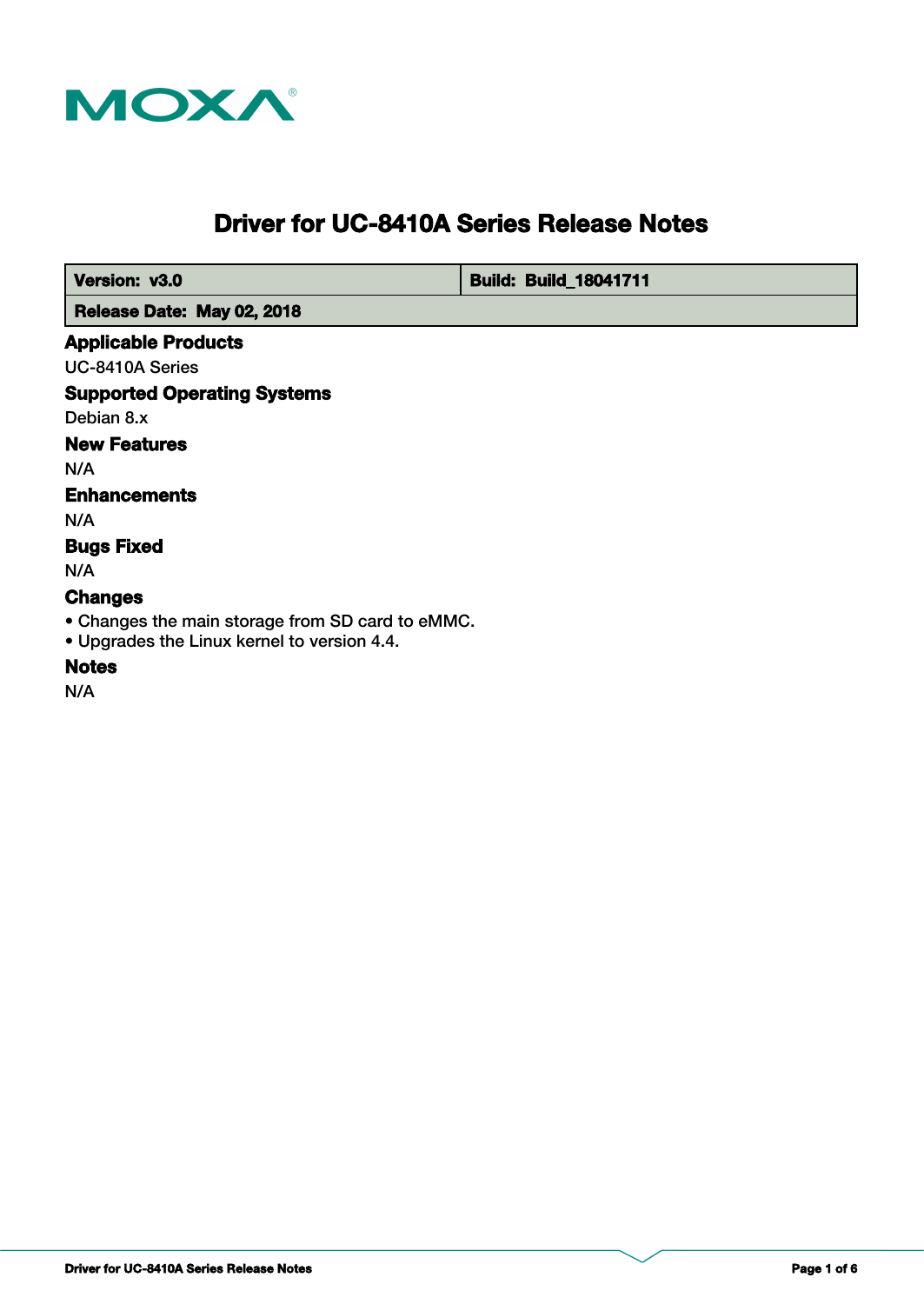

# **Driver for UC-8410A Series Release Notes**

 **Version: v3.0 <b>Build: Build: Build: Build**: **Build: 8041711** 

 **Release Date: May 02, 2018**

#### **Applicable Products**

UC-8410A Series

**Supported Operating Systems**

Debian 8.x

## **New Features**

N/A

## **Enhancements**

N/A

## **Bugs Fixed**

N/A

## **Changes**

• Changes the main storage from SD card to eMMC.

• Upgrades the Linux kernel to version 4.4.

## **Notes**

N/A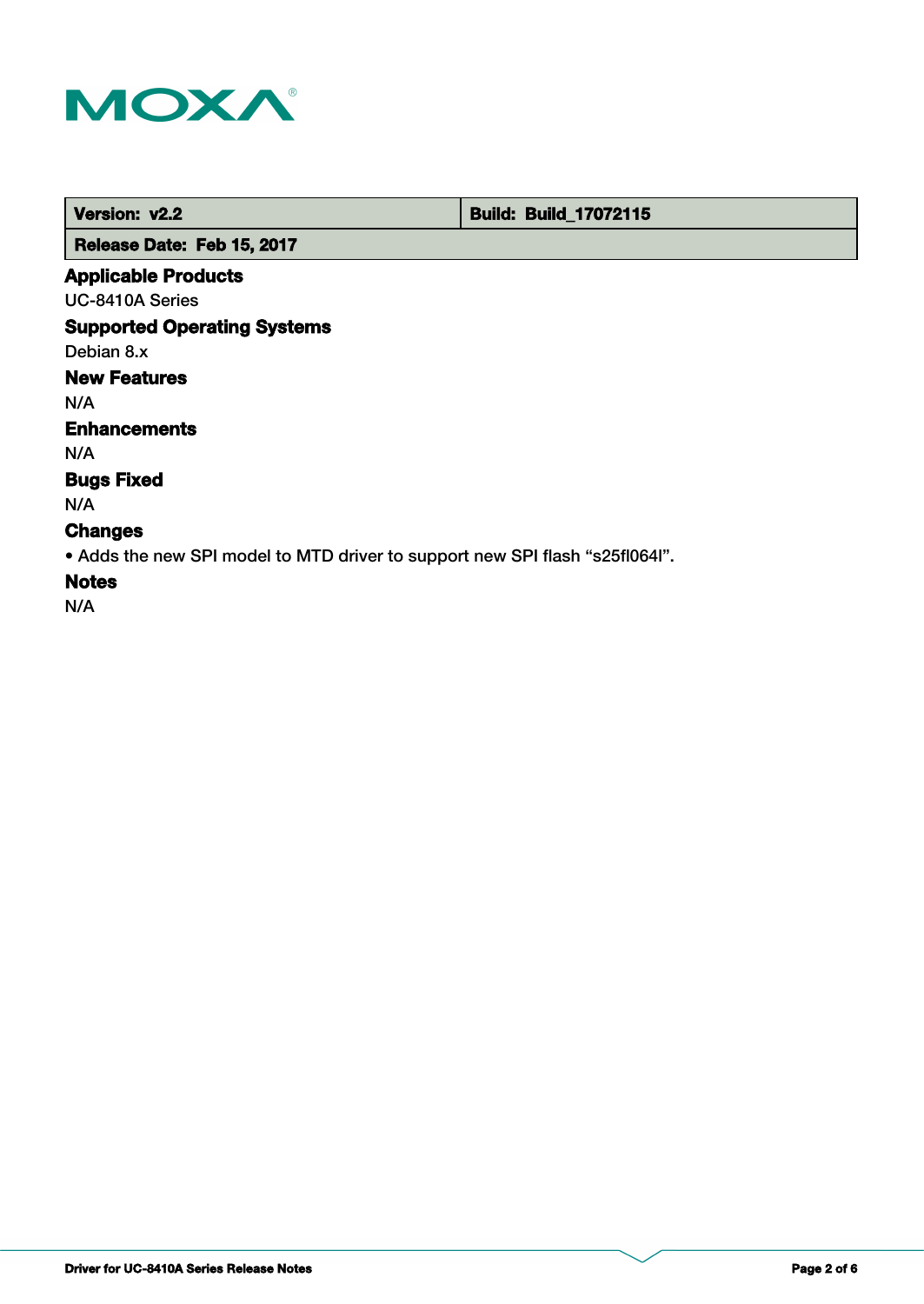

 **Version: v2.2 Build: Build: Build: 17072115** 

 **Release Date: Feb 15, 2017**

## **Applicable Products**

UC-8410A Series

## **Supported Operating Systems**

Debian 8.x

# **New Features**

N/A

#### **Enhancements**

N/A

## **Bugs Fixed**

N/A

## **Changes**

• Adds the new SPI model to MTD driver to support new SPI flash "s25fl064l".

## **Notes**

N/A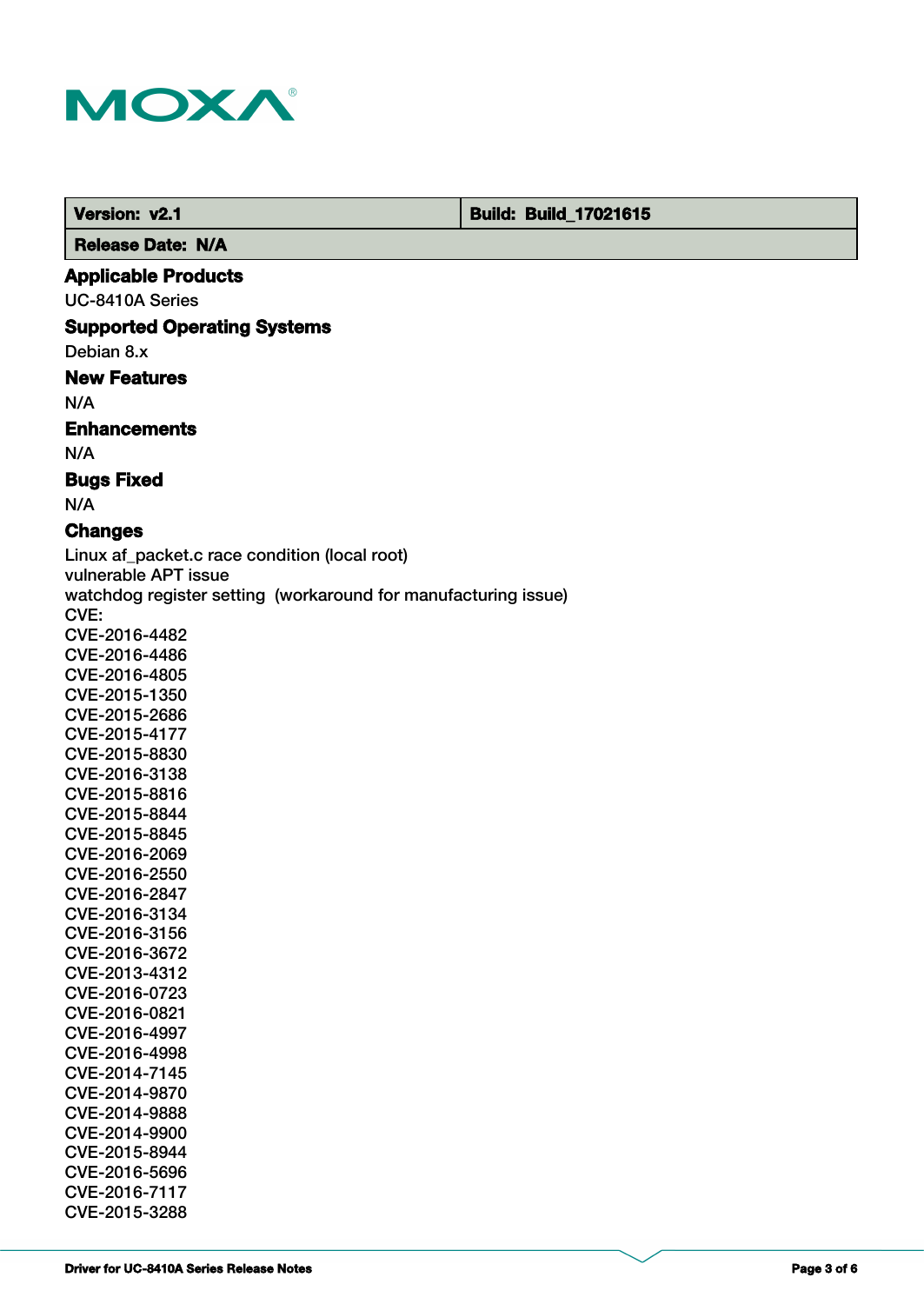

 **Version: v2.1 Build: Build: Build: 17021615** 

 **Release Date: N/A**

#### **Applicable Products**

UC-8410A Series

#### **Supported Operating Systems**

Debian 8.x

#### **New Features**

N/A

#### **Enhancements**

N/A

#### **Bugs Fixed**

N/A

## **Changes**

Linux af packet.c race condition (local root) vulnerable APT issue watchdog register setting (workaround for manufacturing issue) CVE: CVE-2016-4482 CVE-2016-4486 CVE-2016-4805 CVE-2015-1350 CVE-2015-2686 CVE-2015-4177 CVE-2015-8830 CVE-2016-3138 CVE-2015-8816 CVE-2015-8844 CVE-2015-8845 CVE-2016-2069 CVE-2016-2550 CVE-2016-2847 CVE-2016-3134 CVE-2016-3156 CVE-2016-3672 CVE-2013-4312 CVE-2016-0723 CVE-2016-0821 CVE-2016-4997 CVE-2016-4998 CVE-2014-7145 CVE-2014-9870 CVE-2014-9888 CVE-2014-9900 CVE-2015-8944 CVE-2016-5696 CVE-2016-7117

CVE-2015-3288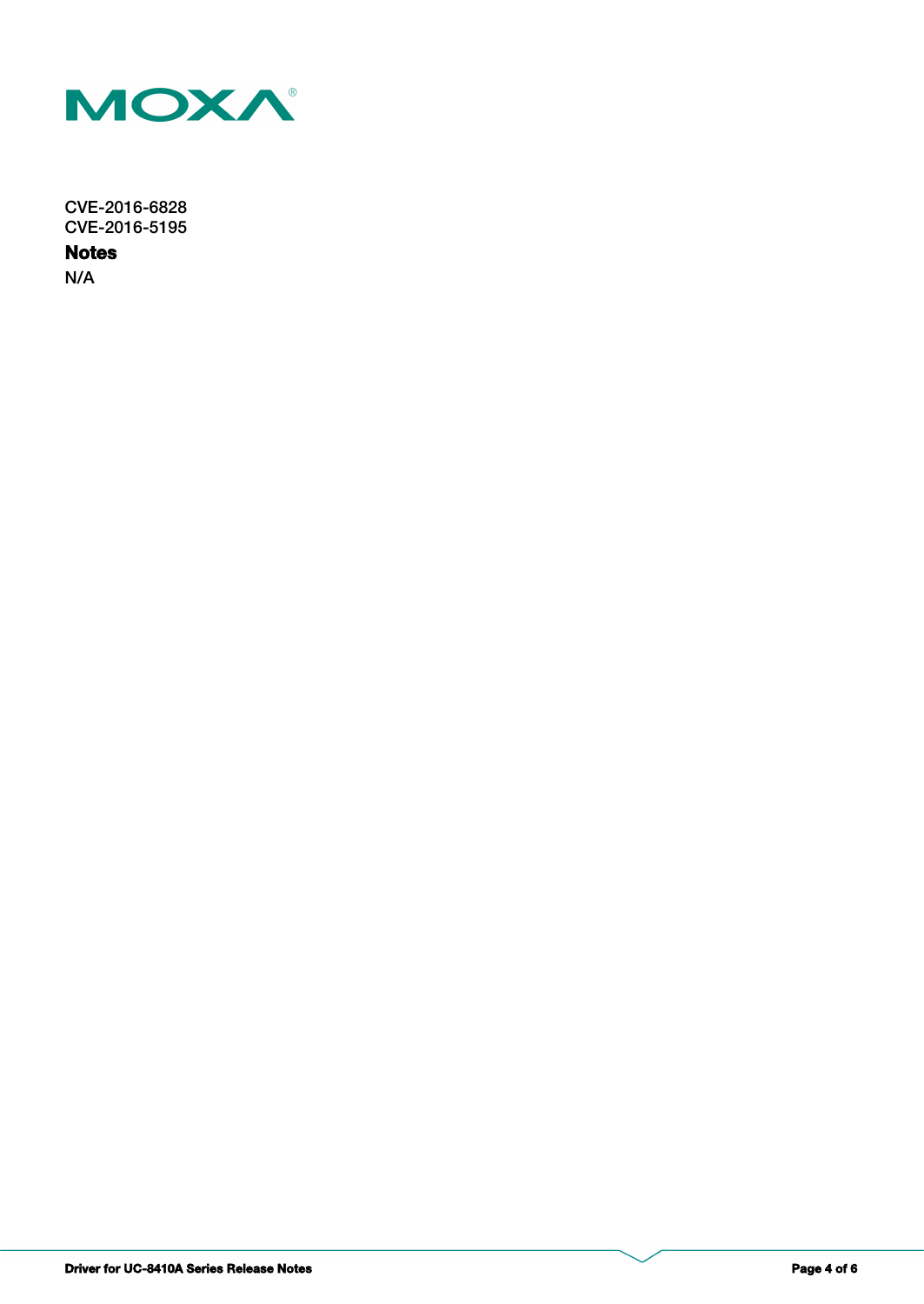

CVE-2016-6828 CVE-2016-5195

**Notes**

N/A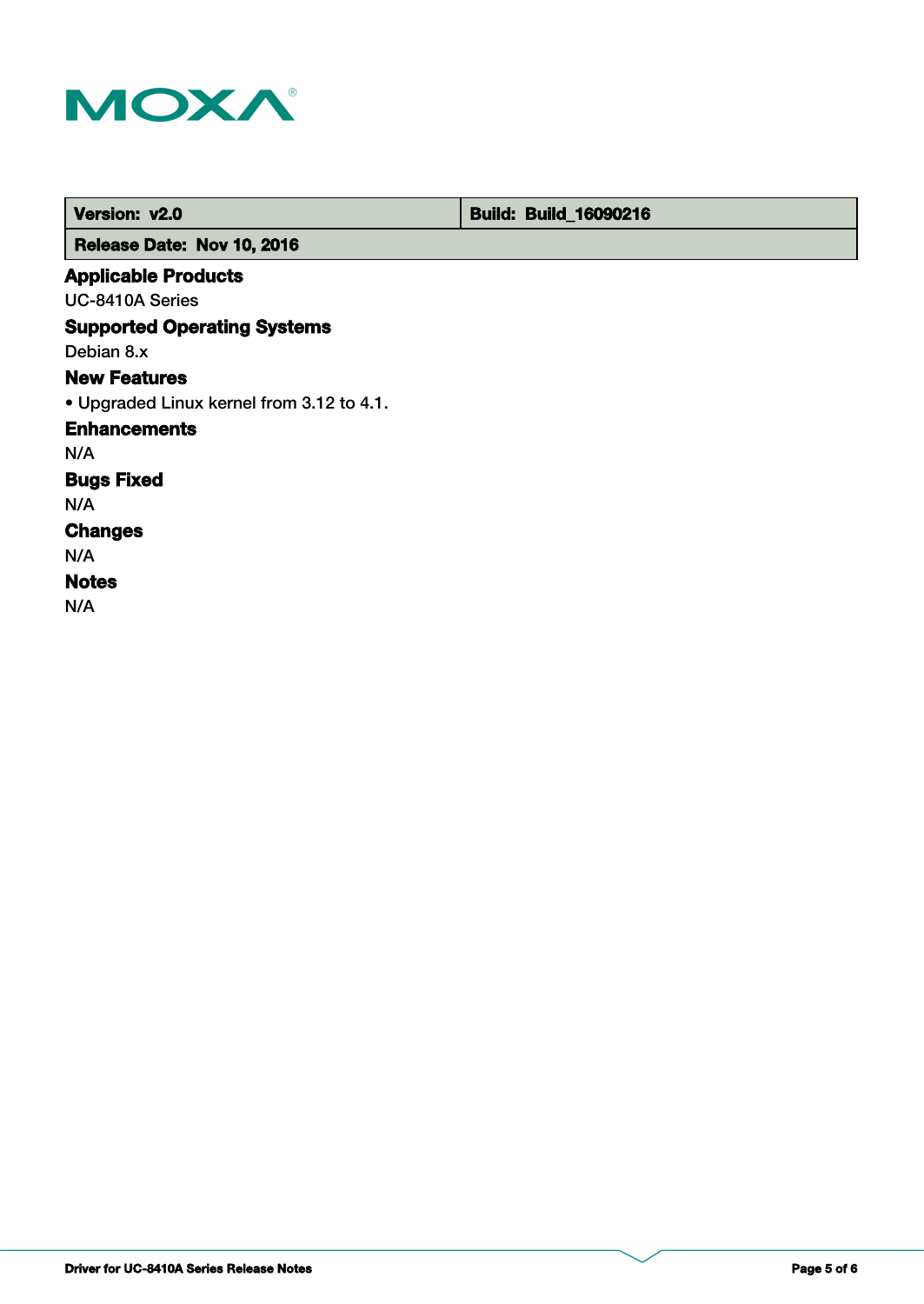

| Version: v2.0                             | <b>Build: Build_16090216</b> |
|-------------------------------------------|------------------------------|
| Release Date: Nov 10, 2016                |                              |
| <b>Applicable Products</b>                |                              |
| UC-8410A Series                           |                              |
| <b>Supported Operating Systems</b>        |                              |
| Debian 8.x                                |                              |
| <b>New Features</b>                       |                              |
| • Upgraded Linux kernel from 3.12 to 4.1. |                              |
| <b>Enhancements</b>                       |                              |
| N/A                                       |                              |
| <b>Bugs Fixed</b>                         |                              |
| N/A                                       |                              |
| <b>Changes</b>                            |                              |
| N/A                                       |                              |
| <b>Notes</b>                              |                              |
| N/A                                       |                              |

т